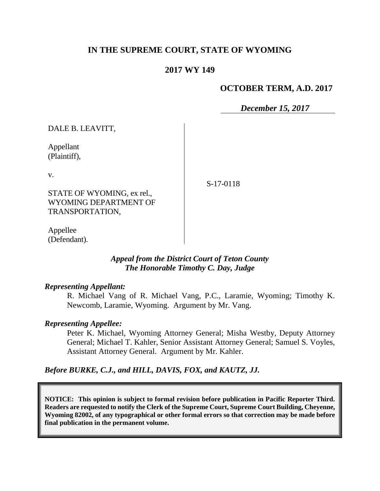# **IN THE SUPREME COURT, STATE OF WYOMING**

### **2017 WY 149**

### **OCTOBER TERM, A.D. 2017**

*December 15, 2017*

DALE B. LEAVITT,

Appellant (Plaintiff),

v.

STATE OF WYOMING, ex rel., WYOMING DEPARTMENT OF TRANSPORTATION,

S-17-0118

Appellee (Defendant).

### *Appeal from the District Court of Teton County The Honorable Timothy C. Day, Judge*

### *Representing Appellant:*

R. Michael Vang of R. Michael Vang, P.C., Laramie, Wyoming; Timothy K. Newcomb, Laramie, Wyoming. Argument by Mr. Vang.

### *Representing Appellee:*

Peter K. Michael, Wyoming Attorney General; Misha Westby, Deputy Attorney General; Michael T. Kahler, Senior Assistant Attorney General; Samuel S. Voyles, Assistant Attorney General. Argument by Mr. Kahler.

*Before BURKE, C.J., and HILL, DAVIS, FOX, and KAUTZ, JJ.*

**NOTICE: This opinion is subject to formal revision before publication in Pacific Reporter Third. Readers are requested to notify the Clerk of the Supreme Court, Supreme Court Building, Cheyenne, Wyoming 82002, of any typographical or other formal errors so that correction may be made before final publication in the permanent volume.**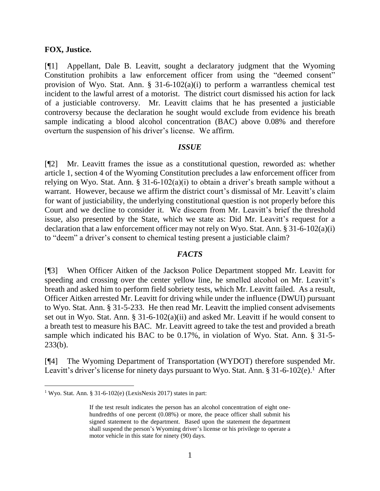#### **FOX, Justice.**

[¶1] Appellant, Dale B. Leavitt, sought a declaratory judgment that the Wyoming Constitution prohibits a law enforcement officer from using the "deemed consent" provision of Wyo. Stat. Ann.  $\S$  31-6-102(a)(i) to perform a warrantless chemical test incident to the lawful arrest of a motorist. The district court dismissed his action for lack of a justiciable controversy. Mr. Leavitt claims that he has presented a justiciable controversy because the declaration he sought would exclude from evidence his breath sample indicating a blood alcohol concentration (BAC) above 0.08% and therefore overturn the suspension of his driver's license. We affirm.

#### *ISSUE*

[¶2] Mr. Leavitt frames the issue as a constitutional question, reworded as: whether article 1, section 4 of the Wyoming Constitution precludes a law enforcement officer from relying on Wyo. Stat. Ann. § 31-6-102(a)(i) to obtain a driver's breath sample without a warrant. However, because we affirm the district court's dismissal of Mr. Leavitt's claim for want of justiciability, the underlying constitutional question is not properly before this Court and we decline to consider it. We discern from Mr. Leavitt's brief the threshold issue, also presented by the State, which we state as: Did Mr. Leavitt's request for a declaration that a law enforcement officer may not rely on Wyo. Stat. Ann. § 31-6-102(a)(i) to "deem" a driver's consent to chemical testing present a justiciable claim?

#### *FACTS*

[¶3] When Officer Aitken of the Jackson Police Department stopped Mr. Leavitt for speeding and crossing over the center yellow line, he smelled alcohol on Mr. Leavitt's breath and asked him to perform field sobriety tests, which Mr. Leavitt failed. As a result, Officer Aitken arrested Mr. Leavitt for driving while under the influence (DWUI) pursuant to Wyo. Stat. Ann. § 31-5-233. He then read Mr. Leavitt the implied consent advisements set out in Wyo. Stat. Ann. § 31-6-102(a)(ii) and asked Mr. Leavitt if he would consent to a breath test to measure his BAC. Mr. Leavitt agreed to take the test and provided a breath sample which indicated his BAC to be 0.17%, in violation of Wyo. Stat. Ann. § 31-5- 233(b).

[¶4] The Wyoming Department of Transportation (WYDOT) therefore suspended Mr. Leavitt's driver's license for ninety days pursuant to Wyo. Stat. Ann. § 31-6-102(e).<sup>1</sup> After

<sup>&</sup>lt;sup>1</sup> Wyo. Stat. Ann. § 31-6-102(e) (LexisNexis 2017) states in part:

If the test result indicates the person has an alcohol concentration of eight onehundredths of one percent (0.08%) or more, the peace officer shall submit his signed statement to the department. Based upon the statement the department shall suspend the person's Wyoming driver's license or his privilege to operate a motor vehicle in this state for ninety (90) days.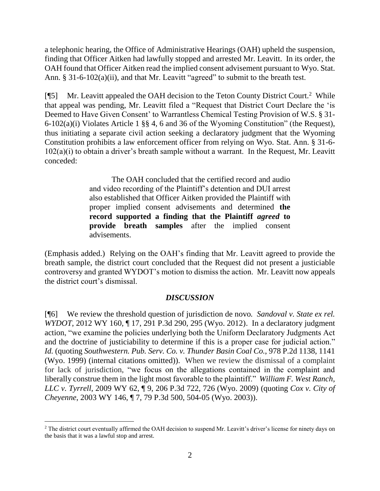a telephonic hearing, the Office of Administrative Hearings (OAH) upheld the suspension, finding that Officer Aitken had lawfully stopped and arrested Mr. Leavitt. In its order, the OAH found that Officer Aitken read the implied consent advisement pursuant to Wyo. Stat. Ann. § 31-6-102(a)(ii), and that Mr. Leavitt "agreed" to submit to the breath test.

[¶5] Mr. Leavitt appealed the OAH decision to the Teton County District Court.<sup>2</sup> While that appeal was pending, Mr. Leavitt filed a "Request that District Court Declare the 'is Deemed to Have Given Consent' to Warrantless Chemical Testing Provision of W.S. § 31- 6-102(a)(i) Violates Article 1 §§ 4, 6 and 36 of the Wyoming Constitution" (the Request), thus initiating a separate civil action seeking a declaratory judgment that the Wyoming Constitution prohibits a law enforcement officer from relying on Wyo. Stat. Ann. § 31-6-  $102(a)(i)$  to obtain a driver's breath sample without a warrant. In the Request, Mr. Leavitt conceded:

> The OAH concluded that the certified record and audio and video recording of the Plaintiff's detention and DUI arrest also established that Officer Aitken provided the Plaintiff with proper implied consent advisements and determined **the record supported a finding that the Plaintiff** *agreed* **to provide breath samples** after the implied consent advisements.

(Emphasis added.) Relying on the OAH's finding that Mr. Leavitt agreed to provide the breath sample, the district court concluded that the Request did not present a justiciable controversy and granted WYDOT's motion to dismiss the action. Mr. Leavitt now appeals the district court's dismissal.

## *DISCUSSION*

[¶6] We review the threshold question of jurisdiction de novo*. Sandoval v. State ex rel. WYDOT*, 2012 WY 160, ¶ 17, 291 P.3d 290, 295 (Wyo. 2012). In a declaratory judgment action, "we examine the policies underlying both the Uniform Declaratory Judgments Act and the doctrine of justiciability to determine if this is a proper case for judicial action." *Id.* (quoting *Southwestern. Pub. Serv. Co. v. Thunder Basin Coal Co.*, 978 P.2d 1138, 1141 (Wyo. 1999) (internal citations omitted)). When we review the dismissal of a complaint for lack of jurisdiction, "we focus on the allegations contained in the complaint and liberally construe them in the light most favorable to the plaintiff." *William F. West Ranch, LLC v. Tyrrell*, 2009 WY 62, ¶ 9, 206 P.3d 722, 726 (Wyo. 2009) (quoting *Cox v. City of Cheyenne*, 2003 WY 146, ¶ 7, 79 P.3d 500, 504-05 (Wyo. 2003)).

<sup>&</sup>lt;sup>2</sup> The district court eventually affirmed the OAH decision to suspend Mr. Leavitt's driver's license for ninety days on the basis that it was a lawful stop and arrest.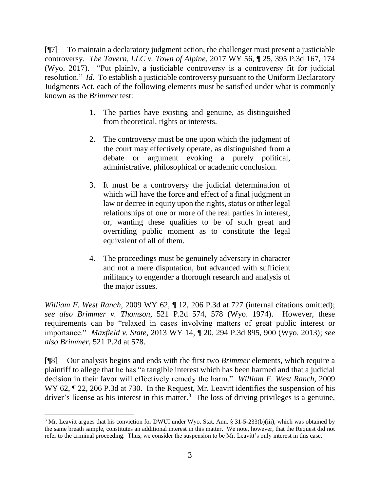[¶7] To maintain a declaratory judgment action, the challenger must present a justiciable controversy. *The Tavern, LLC v. Town of Alpine*, 2017 WY 56, ¶ 25, 395 P.3d 167, 174 (Wyo. 2017). "Put plainly, a justiciable controversy is a controversy fit for judicial resolution." *Id.* To establish a justiciable controversy pursuant to the Uniform Declaratory Judgments Act, each of the following elements must be satisfied under what is commonly known as the *Brimmer* test:

- 1. The parties have existing and genuine, as distinguished from theoretical, rights or interests.
- 2. The controversy must be one upon which the judgment of the court may effectively operate, as distinguished from a debate or argument evoking a purely political, administrative, philosophical or academic conclusion.
- 3. It must be a controversy the judicial determination of which will have the force and effect of a final judgment in law or decree in equity upon the rights, status or other legal relationships of one or more of the real parties in interest, or, wanting these qualities to be of such great and overriding public moment as to constitute the legal equivalent of all of them.
- 4. The proceedings must be genuinely adversary in character and not a mere disputation, but advanced with sufficient militancy to engender a thorough research and analysis of the major issues.

*William F. West Ranch*, 2009 WY 62, ¶ 12, 206 P.3d at 727 (internal citations omitted); *see also Brimmer v. Thomson*, 521 P.2d 574, 578 (Wyo. 1974). However, these requirements can be "relaxed in cases involving matters of great public interest or importance." *Maxfield v. State*, 2013 WY 14, ¶ 20, 294 P.3d 895, 900 (Wyo. 2013); *see also Brimmer*, 521 P.2d at 578.

[¶8] Our analysis begins and ends with the first two *Brimmer* elements, which require a plaintiff to allege that he has "a tangible interest which has been harmed and that a judicial decision in their favor will effectively remedy the harm." *William F. West Ranch*, 2009 WY 62,  $\sqrt{2}$  22, 206 P.3d at 730. In the Request, Mr. Leavitt identifies the suspension of his driver's license as his interest in this matter.<sup>3</sup> The loss of driving privileges is a genuine,

 $3$  Mr. Leavitt argues that his conviction for DWUI under Wyo. Stat. Ann. § 31-5-233(b)(iii), which was obtained by the same breath sample, constitutes an additional interest in this matter. We note, however, that the Request did not refer to the criminal proceeding. Thus, we consider the suspension to be Mr. Leavitt's only interest in this case.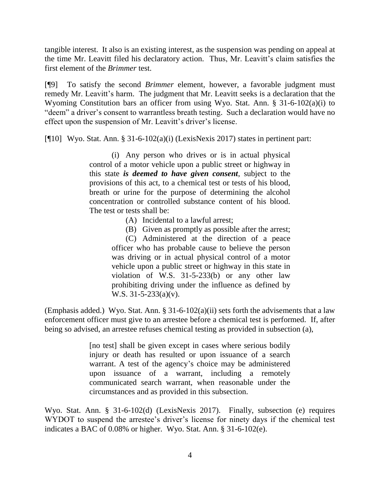tangible interest. It also is an existing interest, as the suspension was pending on appeal at the time Mr. Leavitt filed his declaratory action. Thus, Mr. Leavitt's claim satisfies the first element of the *Brimmer* test.

[¶9] To satisfy the second *Brimmer* element, however, a favorable judgment must remedy Mr. Leavitt's harm. The judgment that Mr. Leavitt seeks is a declaration that the Wyoming Constitution bars an officer from using Wyo. Stat. Ann. § 31-6-102(a)(i) to "deem" a driver's consent to warrantless breath testing. Such a declaration would have no effect upon the suspension of Mr. Leavitt's driver's license.

[ $[10]$  Wyo. Stat. Ann. § 31-6-102(a)(i) (LexisNexis 2017) states in pertinent part:

(i) Any person who drives or is in actual physical control of a motor vehicle upon a public street or highway in this state *is deemed to have given consent*, subject to the provisions of this act, to a chemical test or tests of his blood, breath or urine for the purpose of determining the alcohol concentration or controlled substance content of his blood. The test or tests shall be:

(A) Incidental to a lawful arrest;

(B) Given as promptly as possible after the arrest; (C) Administered at the direction of a peace officer who has probable cause to believe the person was driving or in actual physical control of a motor vehicle upon a public street or highway in this state in violation of W.S. 31-5-233(b) or any other law prohibiting driving under the influence as defined by W.S. 31-5-233(a)(v).

(Emphasis added.) Wyo. Stat. Ann.  $\S 31-6-102(a)(ii)$  sets forth the advisements that a law enforcement officer must give to an arrestee before a chemical test is performed. If, after being so advised, an arrestee refuses chemical testing as provided in subsection (a),

> [no test] shall be given except in cases where serious bodily injury or death has resulted or upon issuance of a search warrant. A test of the agency's choice may be administered upon issuance of a warrant, including a remotely communicated search warrant, when reasonable under the circumstances and as provided in this subsection.

Wyo. Stat. Ann. § 31-6-102(d) (LexisNexis 2017). Finally, subsection (e) requires WYDOT to suspend the arrestee's driver's license for ninety days if the chemical test indicates a BAC of 0.08% or higher. Wyo. Stat. Ann. § 31-6-102(e).